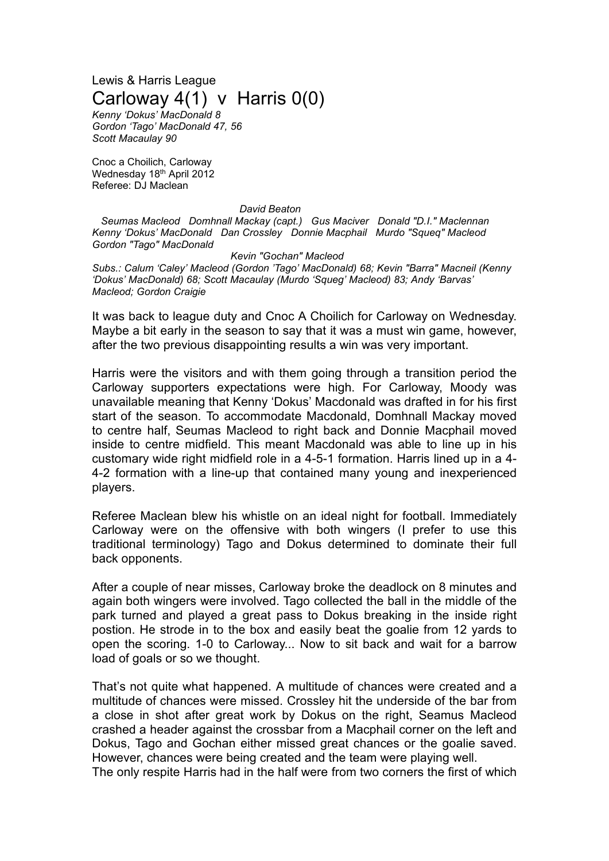Lewis & Harris League Carloway 4(1) v Harris 0(0)

*Kenny 'Dokus' MacDonald 8 Gordon 'Tago' MacDonald 47, 56 Scott Macaulay 90*

Cnoc a Choilich, Carloway Wednesday 18th April 2012 Referee: DJ Maclean

## *David Beaton*

*Seumas Macleod Domhnall Mackay (capt.) Gus Maciver Donald "D.I." Maclennan Kenny 'Dokus' MacDonald Dan Crossley Donnie Macphail Murdo "Squeq" Macleod Gordon "Tago" MacDonald*

*Kevin "Gochan" Macleod Subs.: Calum 'Caley' Macleod (Gordon 'Tago' MacDonald) 68; Kevin "Barra" Macneil (Kenny 'Dokus' MacDonald) 68; Scott Macaulay (Murdo 'Squeg' Macleod) 83; Andy 'Barvas' Macleod; Gordon Craigie*

It was back to league duty and Cnoc A Choilich for Carloway on Wednesday. Maybe a bit early in the season to say that it was a must win game, however, after the two previous disappointing results a win was very important.

Harris were the visitors and with them going through a transition period the Carloway supporters expectations were high. For Carloway, Moody was unavailable meaning that Kenny 'Dokus' Macdonald was drafted in for his first start of the season. To accommodate Macdonald, Domhnall Mackay moved to centre half, Seumas Macleod to right back and Donnie Macphail moved inside to centre midfield. This meant Macdonald was able to line up in his customary wide right midfield role in a 4-5-1 formation. Harris lined up in a 4- 4-2 formation with a line-up that contained many young and inexperienced players.

Referee Maclean blew his whistle on an ideal night for football. Immediately Carloway were on the offensive with both wingers (I prefer to use this traditional terminology) Tago and Dokus determined to dominate their full back opponents.

After a couple of near misses, Carloway broke the deadlock on 8 minutes and again both wingers were involved. Tago collected the ball in the middle of the park turned and played a great pass to Dokus breaking in the inside right postion. He strode in to the box and easily beat the goalie from 12 yards to open the scoring. 1-0 to Carloway... Now to sit back and wait for a barrow load of goals or so we thought.

That's not quite what happened. A multitude of chances were created and a multitude of chances were missed. Crossley hit the underside of the bar from a close in shot after great work by Dokus on the right, Seamus Macleod crashed a header against the crossbar from a Macphail corner on the left and Dokus, Tago and Gochan either missed great chances or the goalie saved. However, chances were being created and the team were playing well.

The only respite Harris had in the half were from two corners the first of which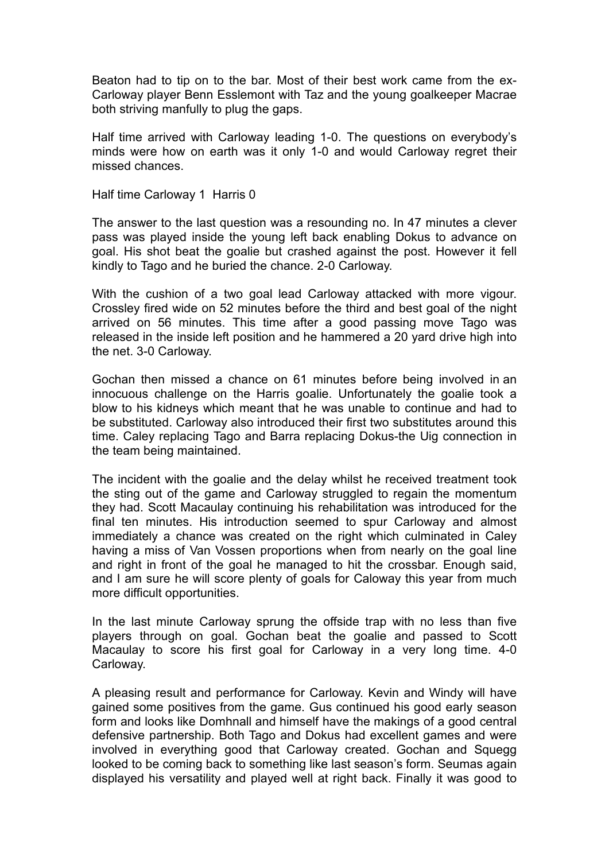Beaton had to tip on to the bar. Most of their best work came from the ex-Carloway player Benn Esslemont with Taz and the young goalkeeper Macrae both striving manfully to plug the gaps.

Half time arrived with Carloway leading 1-0. The questions on everybody's minds were how on earth was it only 1-0 and would Carloway regret their missed chances.

Half time Carloway 1 Harris 0

The answer to the last question was a resounding no. In 47 minutes a clever pass was played inside the young left back enabling Dokus to advance on goal. His shot beat the goalie but crashed against the post. However it fell kindly to Tago and he buried the chance. 2-0 Carloway.

With the cushion of a two goal lead Carloway attacked with more vigour. Crossley fired wide on 52 minutes before the third and best goal of the night arrived on 56 minutes. This time after a good passing move Tago was released in the inside left position and he hammered a 20 yard drive high into the net. 3-0 Carloway.

Gochan then missed a chance on 61 minutes before being involved in an innocuous challenge on the Harris goalie. Unfortunately the goalie took a blow to his kidneys which meant that he was unable to continue and had to be substituted. Carloway also introduced their first two substitutes around this time. Caley replacing Tago and Barra replacing Dokus-the Uig connection in the team being maintained.

The incident with the goalie and the delay whilst he received treatment took the sting out of the game and Carloway struggled to regain the momentum they had. Scott Macaulay continuing his rehabilitation was introduced for the final ten minutes. His introduction seemed to spur Carloway and almost immediately a chance was created on the right which culminated in Caley having a miss of Van Vossen proportions when from nearly on the goal line and right in front of the goal he managed to hit the crossbar. Enough said, and I am sure he will score plenty of goals for Caloway this year from much more difficult opportunities.

In the last minute Carloway sprung the offside trap with no less than five players through on goal. Gochan beat the goalie and passed to Scott Macaulay to score his first goal for Carloway in a very long time. 4-0 Carloway.

A pleasing result and performance for Carloway. Kevin and Windy will have gained some positives from the game. Gus continued his good early season form and looks like Domhnall and himself have the makings of a good central defensive partnership. Both Tago and Dokus had excellent games and were involved in everything good that Carloway created. Gochan and Squegg looked to be coming back to something like last season's form. Seumas again displayed his versatility and played well at right back. Finally it was good to